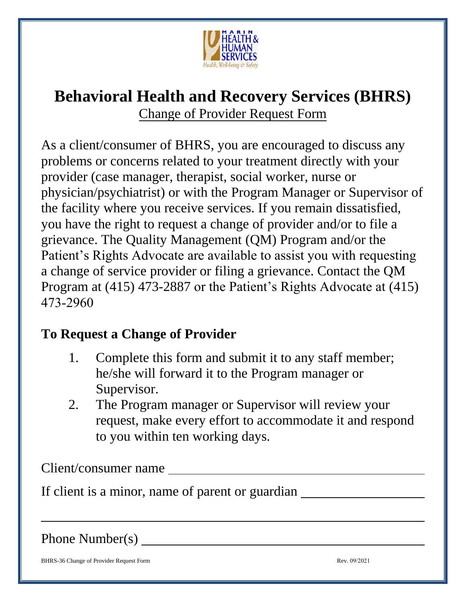

## **Behavioral Health and Recovery Services (BHRS)**  Change of Provider Request Form

As a client/consumer of BHRS, you are encouraged to discuss any problems or concerns related to your treatment directly with your provider (case manager, therapist, social worker, nurse or physician/psychiatrist) or with the Program Manager or Supervisor of the facility where you receive services. If you remain dissatisfied, you have the right to request a change of provider and/or to file a grievance. The Quality Management (QM) Program and/or the Patient's Rights Advocate are available to assist you with requesting a change of service provider or filing a grievance. Contact the QM Program at (415) 473-2887 or the Patient's Rights Advocate at (415) 473-2960

## **To Request a Change of Provider**

- 1. Complete this form and submit it to any staff member; he/she will forward it to the Program manager or Supervisor.
- 2. The Program manager or Supervisor will review your request, make every effort to accommodate it and respond to you within ten working days.

Client/consumer name

If client is a minor, name of parent or guardian

Phone Number(s)

BHRS-36 Change of Provider Request Form **Rev. 09/2021** Rev. 09/2021